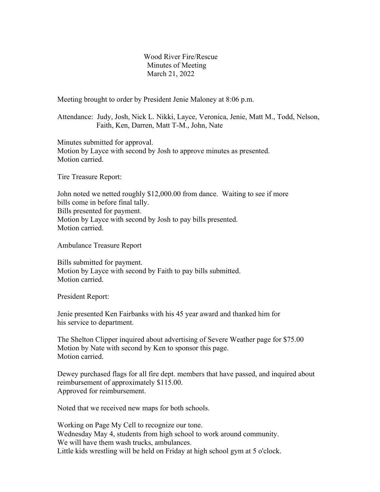Wood River Fire/Rescue Minutes of Meeting March 21, 2022

Meeting brought to order by President Jenie Maloney at 8:06 p.m.

Attendance: Judy, Josh, Nick L. Nikki, Layce, Veronica, Jenie, Matt M., Todd, Nelson, Faith, Ken, Darren, Matt T-M., John, Nate

Minutes submitted for approval. Motion by Layce with second by Josh to approve minutes as presented. Motion carried.

Tire Treasure Report:

John noted we netted roughly \$12,000.00 from dance. Waiting to see if more bills come in before final tally. Bills presented for payment. Motion by Layce with second by Josh to pay bills presented. Motion carried.

Ambulance Treasure Report

Bills submitted for payment. Motion by Layce with second by Faith to pay bills submitted. Motion carried.

President Report:

Jenie presented Ken Fairbanks with his 45 year award and thanked him for his service to department.

The Shelton Clipper inquired about advertising of Severe Weather page for \$75.00 Motion by Nate with second by Ken to sponsor this page. Motion carried.

Dewey purchased flags for all fire dept. members that have passed, and inquired about reimbursement of approximately \$115.00. Approved for reimbursement.

Noted that we received new maps for both schools.

Working on Page My Cell to recognize our tone. Wednesday May 4, students from high school to work around community. We will have them wash trucks, ambulances. Little kids wrestling will be held on Friday at high school gym at 5 o'clock.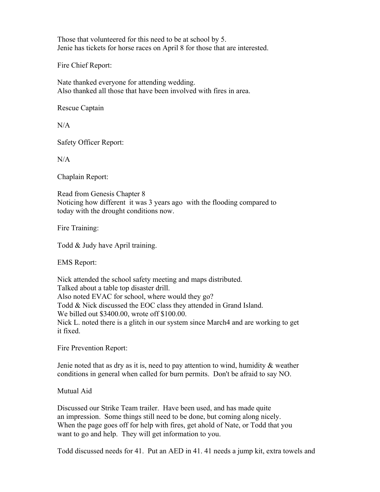Those that volunteered for this need to be at school by 5. Jenie has tickets for horse races on April 8 for those that are interested.

Fire Chief Report:

Nate thanked everyone for attending wedding. Also thanked all those that have been involved with fires in area.

Rescue Captain

 $N/A$ 

Safety Officer Report:

 $N/A$ 

Chaplain Report:

Read from Genesis Chapter 8 Noticing how different it was 3 years ago with the flooding compared to today with the drought conditions now.

Fire Training:

Todd & Judy have April training.

EMS Report:

Nick attended the school safety meeting and maps distributed. Talked about a table top disaster drill. Also noted EVAC for school, where would they go? Todd & Nick discussed the EOC class they attended in Grand Island. We billed out \$3400.00, wrote off \$100.00. Nick L. noted there is a glitch in our system since March4 and are working to get it fixed.

Fire Prevention Report:

Jenie noted that as dry as it is, need to pay attention to wind, humidity & weather conditions in general when called for burn permits. Don't be afraid to say NO.

Mutual Aid

Discussed our Strike Team trailer. Have been used, and has made quite an impression. Some things still need to be done, but coming along nicely. When the page goes off for help with fires, get ahold of Nate, or Todd that you want to go and help. They will get information to you.

Todd discussed needs for 41. Put an AED in 41. 41 needs a jump kit, extra towels and